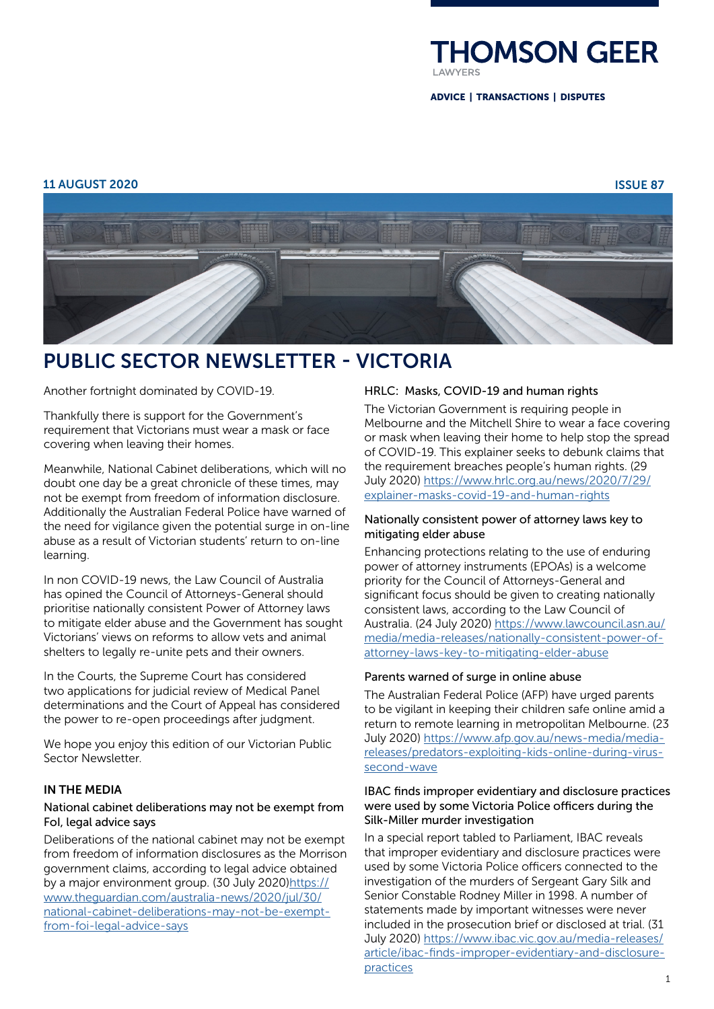

ADVICE | TRANSACTIONS | DISPUTES

#### 11 AUGUST 2020 ISSUE 87



# PUBLIC SECTOR NEWSLETTER - VICTORIA

Another fortnight dominated by COVID-19.

Thankfully there is support for the Government's requirement that Victorians must wear a mask or face covering when leaving their homes.

Meanwhile, National Cabinet deliberations, which will no doubt one day be a great chronicle of these times, may not be exempt from freedom of information disclosure. Additionally the Australian Federal Police have warned of the need for vigilance given the potential surge in on-line abuse as a result of Victorian students' return to on-line learning.

In non COVID-19 news, the Law Council of Australia has opined the Council of Attorneys-General should prioritise nationally consistent Power of Attorney laws to mitigate elder abuse and the Government has sought Victorians' views on reforms to allow vets and animal shelters to legally re-unite pets and their owners.

In the Courts, the Supreme Court has considered two applications for judicial review of Medical Panel determinations and the Court of Appeal has considered the power to re-open proceedings after judgment.

We hope you enjoy this edition of our Victorian Public Sector Newsletter.

## IN THE MEDIA

## National cabinet deliberations may not be exempt from FoI, legal advice says

Deliberations of the national cabinet may not be exempt from freedom of information disclosures as the Morrison government claims, according to legal advice obtained by a major environment group. (30 July 2020[\)https://](https://www.theguardian.com/australia-news/2020/jul/30/national-cabinet-deliberations-may-not-be-exempt-from-foi-legal-advice-says) [www.theguardian.com/australia-news/2020/jul/30/](https://www.theguardian.com/australia-news/2020/jul/30/national-cabinet-deliberations-may-not-be-exempt-from-foi-legal-advice-says) [national-cabinet-deliberations-may-not-be-exempt](https://www.theguardian.com/australia-news/2020/jul/30/national-cabinet-deliberations-may-not-be-exempt-from-foi-legal-advice-says)[from-foi-legal-advice-says](https://www.theguardian.com/australia-news/2020/jul/30/national-cabinet-deliberations-may-not-be-exempt-from-foi-legal-advice-says)

## HRLC: Masks, COVID-19 and human rights

The Victorian Government is requiring people in Melbourne and the Mitchell Shire to wear a face covering or mask when leaving their home to help stop the spread of COVID-19. This explainer seeks to debunk claims that the requirement breaches people's human rights. (29 July 2020) [https://www.hrlc.org.au/news/2020/7/29/](https://www.hrlc.org.au/news/2020/7/29/explainer-masks-covid-19-and-human-rights) [explainer-masks-covid-19-and-human-rights](https://www.hrlc.org.au/news/2020/7/29/explainer-masks-covid-19-and-human-rights)

## Nationally consistent power of attorney laws key to mitigating elder abuse

Enhancing protections relating to the use of enduring power of attorney instruments (EPOAs) is a welcome priority for the Council of Attorneys-General and significant focus should be given to creating nationally consistent laws, according to the Law Council of Australia. (24 July 2020) [https://www.lawcouncil.asn.au/](https://www.lawcouncil.asn.au/media/media-releases/nationally-consistent-power-of-attorney-laws-key-to-mitigating-elder-abuse) [media/media-releases/nationally-consistent-power-of](https://www.lawcouncil.asn.au/media/media-releases/nationally-consistent-power-of-attorney-laws-key-to-mitigating-elder-abuse)[attorney-laws-key-to-mitigating-elder-abuse](https://www.lawcouncil.asn.au/media/media-releases/nationally-consistent-power-of-attorney-laws-key-to-mitigating-elder-abuse)

# Parents warned of surge in online abuse

The Australian Federal Police (AFP) have urged parents to be vigilant in keeping their children safe online amid a return to remote learning in metropolitan Melbourne. (23 July 2020) [https://www.afp.gov.au/news-media/media](https://www.afp.gov.au/news-media/media-releases/predators-exploiting-kids-online-during-virus-second-wave)[releases/predators-exploiting-kids-online-during-virus](https://www.afp.gov.au/news-media/media-releases/predators-exploiting-kids-online-during-virus-second-wave)[second-wave](https://www.afp.gov.au/news-media/media-releases/predators-exploiting-kids-online-during-virus-second-wave)

## IBAC finds improper evidentiary and disclosure practices were used by some Victoria Police officers during the Silk-Miller murder investigation

In a special report tabled to Parliament, IBAC reveals that improper evidentiary and disclosure practices were used by some Victoria Police officers connected to the investigation of the murders of Sergeant Gary Silk and Senior Constable Rodney Miller in 1998. A number of statements made by important witnesses were never included in the prosecution brief or disclosed at trial. (31 July 2020) [https://www.ibac.vic.gov.au/media-releases/](https://www.ibac.vic.gov.au/media-releases/article/ibac-finds-improper-evidentiary-and-disclosure-practices) [article/ibac-finds-improper-evidentiary-and-disclosure](https://www.ibac.vic.gov.au/media-releases/article/ibac-finds-improper-evidentiary-and-disclosure-practices)[practices](https://www.ibac.vic.gov.au/media-releases/article/ibac-finds-improper-evidentiary-and-disclosure-practices)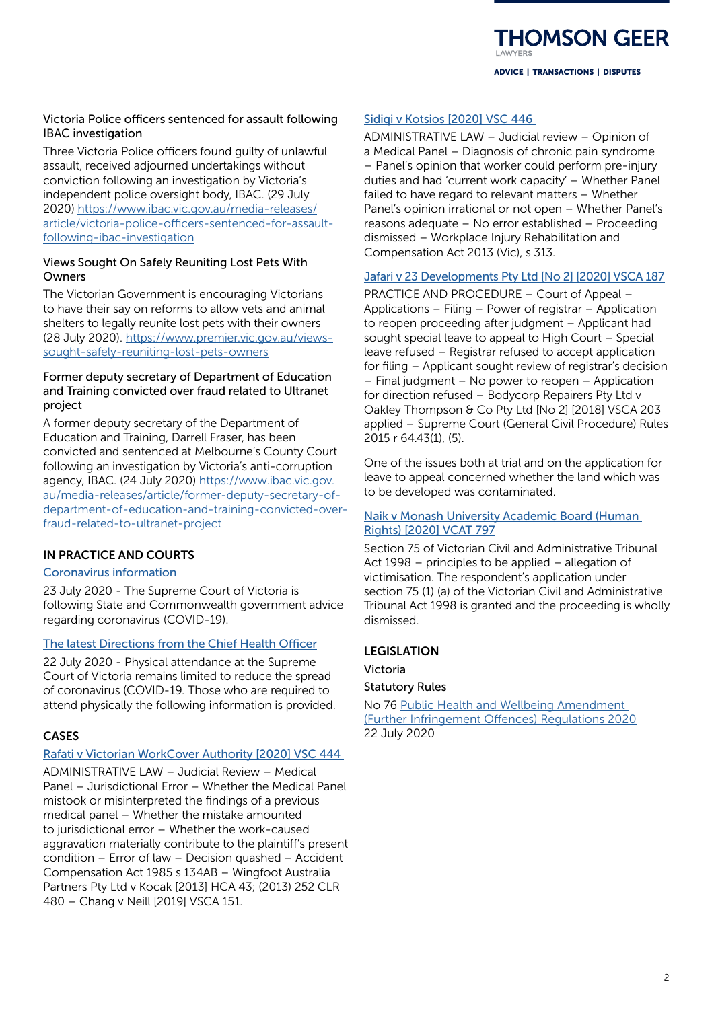**HOMSON GEER** ADVICE | TRANSACTIONS | DISPUTES

# Victoria Police officers sentenced for assault following IBAC investigation

Three Victoria Police officers found guilty of unlawful assault, received adjourned undertakings without conviction following an investigation by Victoria's independent police oversight body, IBAC. (29 July 2020) [https://www.ibac.vic.gov.au/media-releases/](https://www.ibac.vic.gov.au/media-releases/article/victoria-police-officers-sentenced-for-assault-following-ibac-investigation) [article/victoria-police-officers-sentenced-for-assault](https://www.ibac.vic.gov.au/media-releases/article/victoria-police-officers-sentenced-for-assault-following-ibac-investigation)[following-ibac-investigation](https://www.ibac.vic.gov.au/media-releases/article/victoria-police-officers-sentenced-for-assault-following-ibac-investigation)

# Views Sought On Safely Reuniting Lost Pets With Owners

The Victorian Government is encouraging Victorians to have their say on reforms to allow vets and animal shelters to legally reunite lost pets with their owners (28 July 2020). [https://www.premier.vic.gov.au/views](https://www.premier.vic.gov.au/views-sought-safely-reuniting-lost-pets-owners)[sought-safely-reuniting-lost-pets-owners](https://www.premier.vic.gov.au/views-sought-safely-reuniting-lost-pets-owners)

# Former deputy secretary of Department of Education and Training convicted over fraud related to Ultranet project

A former deputy secretary of the Department of Education and Training, Darrell Fraser, has been convicted and sentenced at Melbourne's County Court following an investigation by Victoria's anti-corruption agency, IBAC. (24 July 2020) [https://www.ibac.vic.gov.](https://www.ibac.vic.gov.au/media-releases/article/former-deputy-secretary-of-department-of-education-and-training-convicted-over-fraud-related-to-ultranet-project) [au/media-releases/article/former-deputy-secretary-of](https://www.ibac.vic.gov.au/media-releases/article/former-deputy-secretary-of-department-of-education-and-training-convicted-over-fraud-related-to-ultranet-project)[department-of-education-and-training-convicted-over](https://www.ibac.vic.gov.au/media-releases/article/former-deputy-secretary-of-department-of-education-and-training-convicted-over-fraud-related-to-ultranet-project)[fraud-related-to-ultranet-project](https://www.ibac.vic.gov.au/media-releases/article/former-deputy-secretary-of-department-of-education-and-training-convicted-over-fraud-related-to-ultranet-project)

# IN PRACTICE AND COURTS

# [Coronavirus information](https://www.supremecourt.vic.gov.au/news/coronavirus-information)

23 July 2020 - The Supreme Court of Victoria is following State and Commonwealth government advice regarding coronavirus (COVID-19).

# [The latest Directions from the Chief Health Officer](https://www.supremecourt.vic.gov.au/news/the-latest-directions-from-the-chief-health-officer)

22 July 2020 - Physical attendance at the Supreme Court of Victoria remains limited to reduce the spread of coronavirus (COVID-19. Those who are required to attend physically the following information is provided.

# CASES

# [Rafati v Victorian WorkCover Authority \[2020\] VSC 444](http://www8.austlii.edu.au/cgi-bin/viewdoc/au/cases/vic/VSC/2020/444.html)

ADMINISTRATIVE LAW – Judicial Review – Medical Panel – Jurisdictional Error – Whether the Medical Panel mistook or misinterpreted the findings of a previous medical panel – Whether the mistake amounted to jurisdictional error – Whether the work-caused aggravation materially contribute to the plaintiff's present condition – Error of law – Decision quashed – Accident Compensation Act 1985 s 134AB – Wingfoot Australia Partners Pty Ltd v Kocak [2013] HCA 43; (2013) 252 CLR 480 – Chang v Neill [2019] VSCA 151.

# [Sidiqi v Kotsios \[2020\] VSC 446](http://www8.austlii.edu.au/cgi-bin/viewdoc/au/cases/vic/VSC/2020/446.html)

ADMINISTRATIVE LAW – Judicial review – Opinion of a Medical Panel – Diagnosis of chronic pain syndrome – Panel's opinion that worker could perform pre-injury duties and had 'current work capacity' – Whether Panel failed to have regard to relevant matters – Whether Panel's opinion irrational or not open – Whether Panel's reasons adequate – No error established – Proceeding dismissed – Workplace Injury Rehabilitation and Compensation Act 2013 (Vic), s 313.

# [Jafari v 23 Developments Pty Ltd \[No 2\] \[2020\] VSCA 187](http://www8.austlii.edu.au/cgi-bin/viewdoc/au/cases/vic/VSCA/2020/187.html)

PRACTICE AND PROCEDURE – Court of Appeal – Applications – Filing – Power of registrar – Application to reopen proceeding after judgment – Applicant had sought special leave to appeal to High Court – Special leave refused – Registrar refused to accept application for filing – Applicant sought review of registrar's decision – Final judgment – No power to reopen – Application for direction refused – Bodycorp Repairers Pty Ltd v Oakley Thompson & Co Pty Ltd [No 2] [2018] VSCA 203 applied – Supreme Court (General Civil Procedure) Rules 2015 r 64.43(1), (5).

One of the issues both at trial and on the application for leave to appeal concerned whether the land which was to be developed was contaminated.

# [Naik v Monash University Academic Board \(Human](http://www8.austlii.edu.au/cgi-bin/viewdoc/au/cases/vic/VCAT/2020/797.html)  [Rights\) \[2020\] VCAT 797](http://www8.austlii.edu.au/cgi-bin/viewdoc/au/cases/vic/VCAT/2020/797.html)

Section 75 of Victorian Civil and Administrative Tribunal Act 1998 – principles to be applied – allegation of victimisation. The respondent's application under section 75 (1) (a) of the Victorian Civil and Administrative Tribunal Act 1998 is granted and the proceeding is wholly dismissed.

# LEGISLATION

# Victoria

Statutory Rules

No 76 [Public Health and Wellbeing Amendment](https://www.legislation.vic.gov.au/as-made/statutory-rules/public-health-and-wellbeing-amendment-further-infringement-offences)  [\(Further Infringement Offences\) Regulations 2020](https://www.legislation.vic.gov.au/as-made/statutory-rules/public-health-and-wellbeing-amendment-further-infringement-offences) 22 July 2020